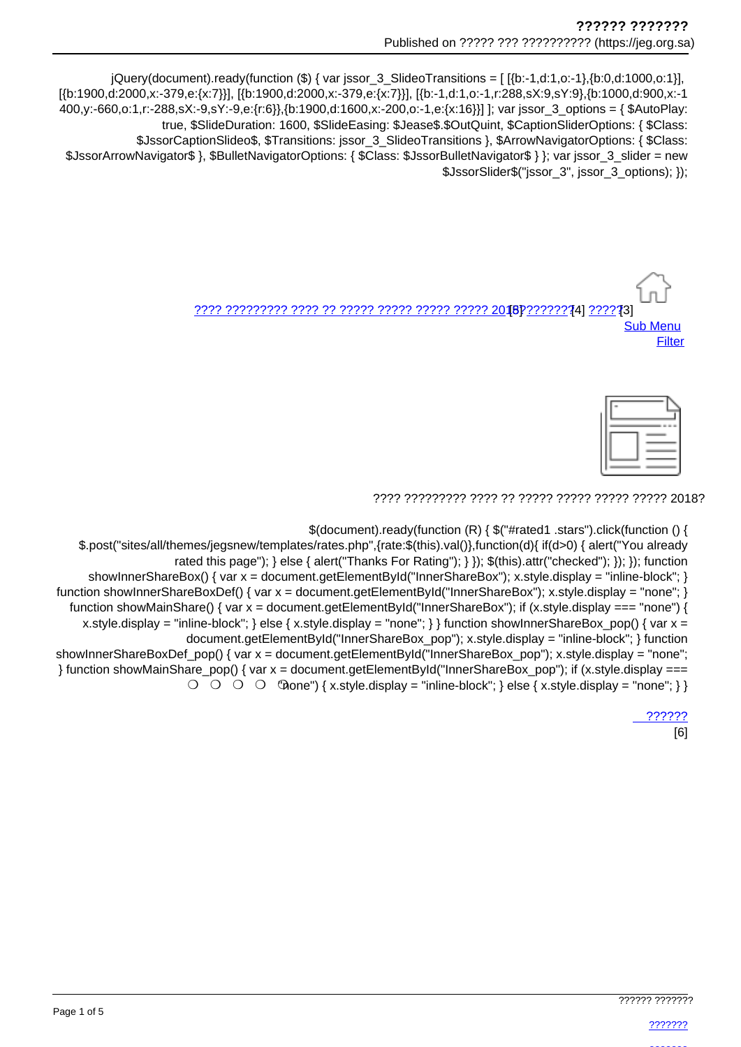jQuery(document).ready(function (\$) { var jssor\_3\_SlideoTransitions = [[{b:-1,d:1,o:-1},{b:0,d:1000,o:1}], [{b:1900.d:2000.x:-379.e:{x:7}}], [{b:1900.d:2000.x:-379.e:{x:7}}], [{b:-1.d:1.o:-1.r:288.sX:9.sY:9}, {b:1000.d:900.x:-1 400,y:-660,o:1,r:-288,sX:-9,sY:-9,e:{r:6}},{b:1900,d:1600,x:-200,o:-1,e:{x:16}}] ]; var jssor\_3\_options = { \$AutoPlay: true, \$SlideDuration: 1600, \$SlideEasing: \$Jease\$.\$OutQuint, \$CaptionSliderOptions: { \$Class: \$JssorCaptionSlideo\$, \$Transitions: jssor\_3\_SlideoTransitions }, \$ArrowNavigatorOptions: { \$Class: \$JssorArrowNavigator\$ }, \$BulletNavigatorOptions: { \$Class: \$JssorBulletNavigator\$ } }; var jssor\_3\_slider = new \$JssorSlider\$("jssor 3", jssor 3 options); });

> **Sub Menu** Filter

|   | --- |
|---|-----|
| ۰ |     |
|   |     |

\$(document).ready(function (R) { \$("#rated1 .stars").click(function () {

\$.post("sites/all/themes/jegsnew/templates/rates.php",{rate:\$(this).val()},function(d){ if(d>0) { alert("You already rated this page"); } else { alert("Thanks For Rating"); } }); \$(this).attr("checked"); }); }); function showInnerShareBox() { var  $x =$  document.getElementById("InnerShareBox"); x.style.display = "inline-block"; } function showInnerShareBoxDef() { var x = document.getElementById("InnerShareBox"); x.style.display = "none"; } function showMainShare() { var  $x =$  document.getElementById("InnerShareBox"); if (x.style.display === "none") { x.style.display = "inline-block"; } else { x.style.display = "none"; } } function show InnerShareBox\_pop() { var x = document.getElementById("InnerShareBox pop"); x.style.display = "inline-block"; } function showInnerShareBoxDef pop() { var x = document.getElementById("InnerShareBox pop"); x.style.display = "none"; } function showMainShare\_pop() { var x = document.getElementById("InnerShareBox\_pop"); if (x.style.display ===  $\bigcirc$   $\bigcirc$   $\bigcirc$   $\bigcirc$   $\bigcirc$   $\bigcirc$   $\bigcirc$   $\bigcirc$   $\bigcirc$   $\bigcirc$   $\bigcirc$   $\bigcirc$   $\bigcirc$   $\bigcirc$   $\bigcirc$   $\bigcirc$   $\bigcirc$   $\bigcirc$   $\bigcirc$   $\bigcirc$   $\bigcirc$   $\bigcirc$   $\bigcirc$   $\bigcirc$   $\bigcirc$   $\bigcirc$   $\bigcirc$   $\bigcirc$   $\bigcirc$   $\bigcirc$   $\bigcirc$   $\bigcirc$   $\bigcirc$   $\bigcirc$   $\bigcirc$   $\bigcirc$   $\bigcirc$ 

222222

 $[6]$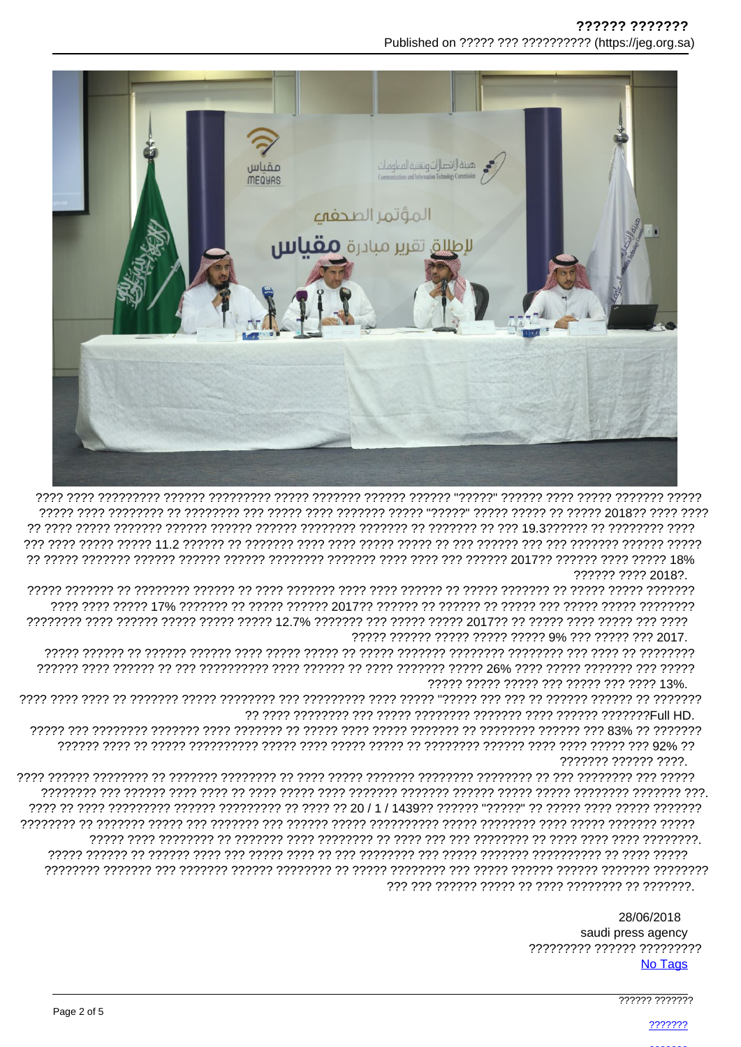

דרדר דרדרדרדר דר דרדרד בן קיד דר דר דר דרדרדר דר דרדרדר דרדרדר דרדרדר דרדרדר דרדרד דרדרדר דרדרדר דרדרד דרדר דר ?????? ???? 2018?.

דרדר דרד דרדרד דרדר דרדרד דר דרדרס פרדרד דרדרד דרדר דרד דרדרדר שרך כן דרדרד דרדרד דרדרד דרדרד דרדר דרדרדרד 

????? ????? ????? ??? ????? ??? ???? 13%.

??????? ?????? ????.

> 28/06/2018 saudi press agency ????????? ?????? ????????? No Tags

> > 777777 7777777

2222222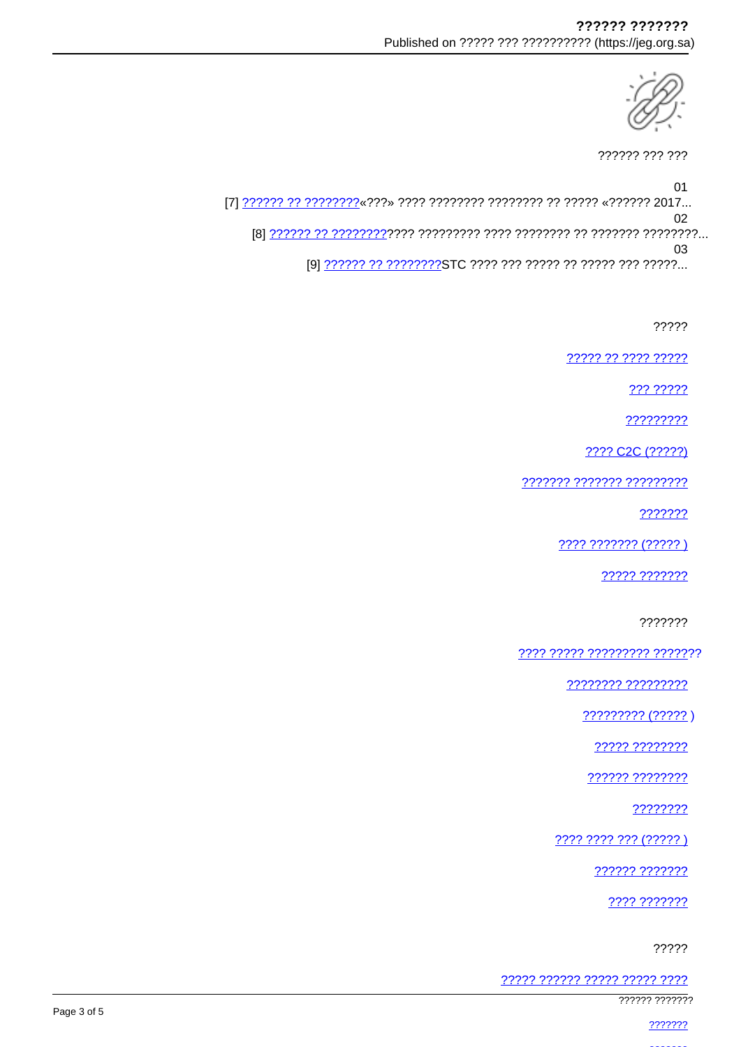

?????? ??? ???

01 02 [8] אירויר ווייני היירול היירוי ויירול ויירוי ויירוי ויירוי היירוי היירול בין יירוי היירון ... 03

?????

77777 77 7777 77777

??? ?????

?????????

???? C2C (?????)

??????? ??????? ?????????

???????

???? ??????? (????? )

????? ???????

???????

<u> ???? ????? ????????? ???????</u>

<u>???????? ??????????</u>

 $????????? (?????)$ 

????? ????????

?????? ????????

????????

???? ???? ??? (????? )

222222 2222222

???? ???????

?????

????? ?????? ????? ????? ????

777777 7777777

2222222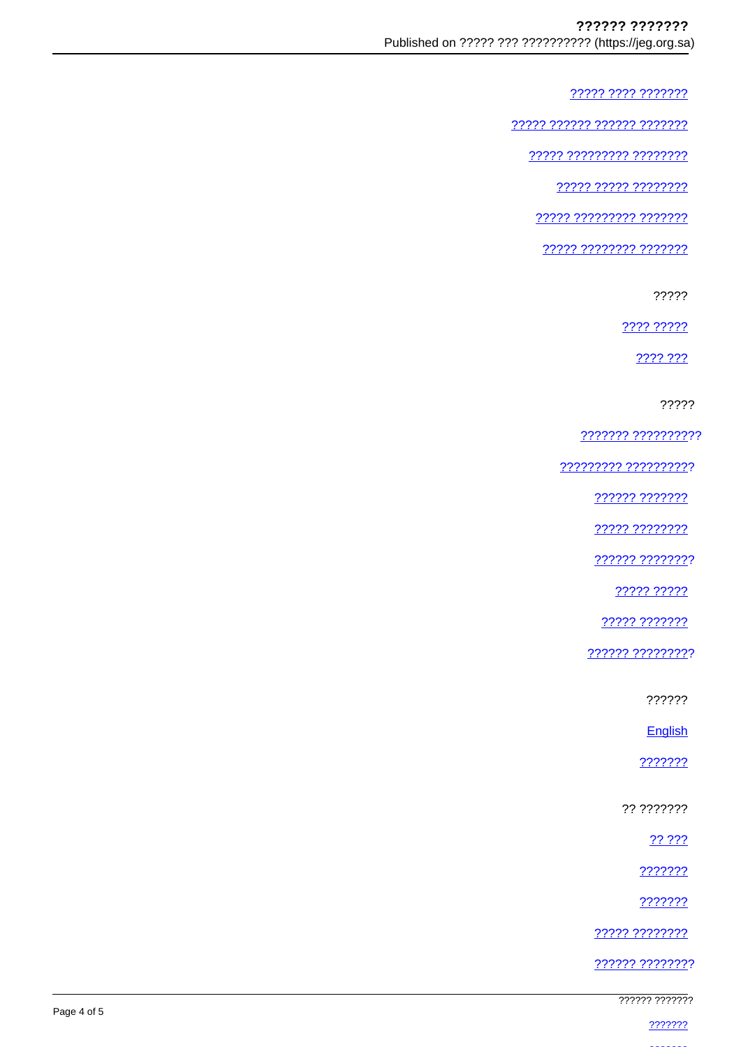????? ???? ???????

77777 777777 777777 7777777

77777 777777777 77777777

22222 22222 22222222

77777 777777777 7777777

22222 22222222 2222222

?????

???? ?????

2222.222

?????

??????? ??????????

????????? ??????????

?????? ???????

22222 22222222

?????? ????????

22222 22222

????? ???????

?????? ?????????

??????

English

???????

?? ???????

?? ???

???????

???????

????? ????????

?????? ????????

777777 7777777

2222222